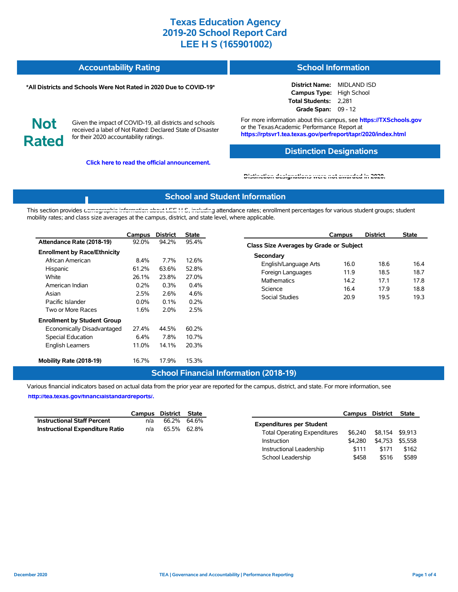#### **Accountability Rating School Information**

#### **\*All Districts and Schools Were Not Rated in 2020 Due to COVID-19\***

**District Name:** MIDLAND ISD **Campus Type:** High School **Total Students:** 2,281 **Grade Span:** 09 - 12

**Not Rated**

Given the impact of COVID-19, all districts and schools received a label of Not Rated: Declared State of Disaster for their 2020 accountability ratings.

**Click here to read the official announcement.**

For more information about this campus, see **https://TXSchools.gov** or the Texas Academic Performance Report at **https://rptsvr1.tea.texas.gov/perfreport/tapr/2020/index.html**

### **Distinction Designations**

#### **[Distinction designations were not awarded in 2020.](https://rptsvr1.tea.texas.gov/perfreport/tapr/2020/index.html)**

### **School and Student Information**

This section provides [demographic information about LEE H S, including](https://tea.texas.gov/about-tea/news-and-multimedia/correspondence/taa-letters/every-student-succeeds-act-essa-waiver-approval-2020-state-academic-accountability) attendance rates; enrollment percentages for various student groups; student mobility rates; and class size averages at the campus, district, and state level, where applicable.

|                                     | Campus        | <b>District</b> | <b>State</b>   |                   |
|-------------------------------------|---------------|-----------------|----------------|-------------------|
| Attendance Rate (2018-19)           | 92.0%         | 94.2%           | 95.4%          | <b>Class Size</b> |
| <b>Enrollment by Race/Ethnicity</b> |               |                 |                | Seconda           |
| African American<br>Hispanic        | 8.4%<br>61.2% | 7.7%<br>63.6%   | 12.6%<br>52.8% | Englis            |
| White                               | 26.1%         | 23.8%           | 27.0%          | Foreio<br>Mathe   |
| American Indian                     | $0.2\%$       | 0.3%            | $0.4\%$        | Scien             |
| Asian                               | 2.5%          | 2.6%            | 4.6%           | Socia             |
| Pacific Islander                    | $0.0\%$       | 0.1%            | 0.2%           |                   |
| Two or More Races                   | 1.6%          | 2.0%            | 2.5%           |                   |
| <b>Enrollment by Student Group</b>  |               |                 |                |                   |
| Economically Disadvantaged          | 27.4%         | 44.5%           | 60.2%          |                   |
| Special Education                   | 6.4%          | 7.8%            | 10.7%          |                   |
| <b>English Learners</b>             | 11.0%         | 14.1%           | 20.3%          |                   |
| Mobility Rate (2018-19)             | 16.7%         | 17.9%           | 15.3%          |                   |

### **Campus District State Class Size Averages by Grade or Subject** ary sh/Language Arts 16.0 18.6 16.4 gn Languages 11.9 18.5 18.7 ematics 14.2 17.1 17.8 Science 16.4 17.9 18.8 I Studies 20.9 19.5 19.3

Instructional Leadership  $$111$  \$171 \$162 School Leadership  $$458$  \$516 \$589

#### **School Financial Information (2018-19)**

Various financial indicators based on actual data from the prior year are reported for the campus, district, and state. For more information, see

**[http://tea.texas.gov/financialstandardreports/.](http://tea.texas.gov/financialstandardreports/)**

|                                    |     | Campus District State | Campus                                         | District        | State |
|------------------------------------|-----|-----------------------|------------------------------------------------|-----------------|-------|
| <b>Instructional Staff Percent</b> | n/a | 66.2% 64.6%           | <b>Expenditures per Student</b>                |                 |       |
| Instructional Expenditure Ratio    | n/a | 65.5% 62.8%           | \$6.240<br><b>Total Operating Expenditures</b> | \$8,154 \$9,913 |       |
|                                    |     |                       | \$4.280<br>Instruction                         | \$4,753 \$5,558 |       |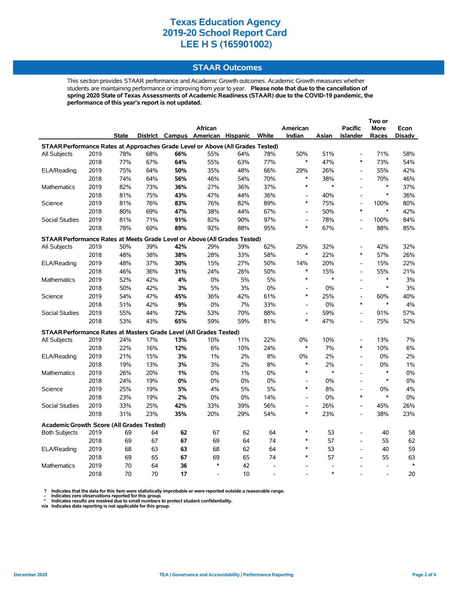### **STAAR Outcomes**

This section provides STAAR performance and Academic Growth outcomes. Academic Growth measures whether students are maintaining performance or improving from year to year. **Please note that due to the cancellation of spring 2020 State of Texas Assessments of Academic Readiness (STAAR) due to the COVID-19 pandemic, the performance of this year's report is not updated.**

|                                                                                |                                                                    |              |     |       |                                   |       |       |                          |        | Two or                   |                          |        |
|--------------------------------------------------------------------------------|--------------------------------------------------------------------|--------------|-----|-------|-----------------------------------|-------|-------|--------------------------|--------|--------------------------|--------------------------|--------|
|                                                                                |                                                                    |              |     |       | <b>African</b>                    |       |       | American                 |        | <b>Pacific</b>           | More                     | Econ   |
|                                                                                |                                                                    | <b>State</b> |     |       | District Campus American Hispanic |       | White | Indian                   | Asian  | <b>Islander</b>          | Races                    | Disadv |
| STAAR Performance Rates at Approaches Grade Level or Above (All Grades Tested) |                                                                    |              |     |       |                                   |       |       |                          |        |                          |                          |        |
| All Subjects                                                                   | 2019                                                               | 78%          | 68% | 66%   | 55%                               | 64%   | 78%   | 50%                      | 51%    | $\overline{\phantom{a}}$ | 71%                      | 58%    |
|                                                                                | 2018                                                               | 77%          | 67% | 64%   | 55%                               | 63%   | 77%   | $\ast$                   | 47%    | $\ast$                   | 73%                      | 54%    |
| ELA/Reading                                                                    | 2019                                                               | 75%          | 64% | 50%   | 35%                               | 48%   | 66%   | 29%                      | 26%    | $\overline{\phantom{a}}$ | 55%                      | 42%    |
|                                                                                | 2018                                                               | 74%          | 64% | 56%   | 46%                               | 54%   | 70%   | $\ast$                   | 38%    | $\overline{a}$           | 70%                      | 46%    |
| <b>Mathematics</b>                                                             | 2019                                                               | 82%          | 73% | 36%   | 27%                               | 36%   | 37%   | $\ast$                   | $\ast$ | $\overline{\phantom{a}}$ | $\ast$                   | 37%    |
|                                                                                | 2018                                                               | 81%          | 75% | 43%   | 47%                               | 44%   | 36%   | $\overline{\phantom{a}}$ | 40%    | $\overline{a}$           | $\ast$                   | 36%    |
| Science                                                                        | 2019                                                               | 81%          | 76% | 83%   | 76%                               | 82%   | 89%   | $\ast$                   | 75%    | $\overline{a}$           | 100%                     | 80%    |
|                                                                                | 2018                                                               | 80%          | 69% | 47%   | 38%                               | 44%   | 67%   | $\overline{\phantom{a}}$ | 50%    | $\ast$                   | $\ast$                   | 42%    |
| <b>Social Studies</b>                                                          | 2019                                                               | 81%          | 71% | 91%   | 82%                               | 90%   | 97%   | $\blacksquare$           | 78%    | $\overline{\phantom{0}}$ | 100%                     | 84%    |
|                                                                                | 2018                                                               | 78%          | 69% | 89%   | 92%                               | 88%   | 95%   | $\ast$                   | 67%    | $\overline{a}$           | 88%                      | 85%    |
| STAAR Performance Rates at Meets Grade Level or Above (All Grades Tested)      |                                                                    |              |     |       |                                   |       |       |                          |        |                          |                          |        |
| All Subjects                                                                   | 2019                                                               | 50%          | 39% | 42%   | 29%                               | 39%   | 62%   | 25%                      | 32%    | $\overline{a}$           | 42%                      | 32%    |
|                                                                                | 2018                                                               | 48%          | 38% | 38%   | 28%                               | 33%   | 58%   | $\ast$                   | 22%    | $\ast$                   | 57%                      | 26%    |
| ELA/Reading                                                                    | 2019                                                               | 48%          | 37% | 30%   | 15%                               | 27%   | 50%   | 14%                      | 20%    | $\overline{\phantom{0}}$ | 15%                      | 22%    |
|                                                                                | 2018                                                               | 46%          | 36% | 31%   | 24%                               | 26%   | 50%   | $\ast$                   | 15%    | $\overline{a}$           | 55%                      | 21%    |
| Mathematics                                                                    | 2019                                                               | 52%          | 42% | 4%    | $0\%$                             | $5\%$ | 5%    | $\ast$                   | $\ast$ | $\overline{a}$           | $\ast$                   | 3%     |
|                                                                                | 2018                                                               | 50%          | 42% | 3%    | 5%                                | 3%    | 0%    | $\overline{\phantom{a}}$ | $0\%$  | $\overline{\phantom{0}}$ | $\ast$                   | 3%     |
| Science                                                                        | 2019                                                               | 54%          | 47% | 45%   | 36%                               | 42%   | 61%   | $\ast$                   | 25%    | $\overline{\phantom{a}}$ | 60%                      | 40%    |
|                                                                                | 2018                                                               | 51%          | 42% | 9%    | 0%                                | 7%    | 33%   | $\blacksquare$           | $0\%$  | $\ast$                   | $\ast$                   | 4%     |
| <b>Social Studies</b>                                                          | 2019                                                               | 55%          | 44% | 72%   | 53%                               | 70%   | 88%   | $\overline{a}$           | 59%    | $\overline{a}$           | 91%                      | 57%    |
|                                                                                | 2018                                                               | 53%          | 43% | 65%   | 59%                               | 59%   | 81%   | $\ast$                   | 47%    | $\overline{\phantom{a}}$ | 75%                      | 52%    |
|                                                                                | STAAR Performance Rates at Masters Grade Level (All Grades Tested) |              |     |       |                                   |       |       |                          |        |                          |                          |        |
| <b>All Subjects</b>                                                            | 2019                                                               | 24%          | 17% | 13%   | 10%                               | 11%   | 22%   | 0%                       | 10%    | $\overline{\phantom{0}}$ | 13%                      | 7%     |
|                                                                                | 2018                                                               | 22%          | 16% | 12%   | 6%                                | 10%   | 24%   | $\ast$                   | 7%     | $\ast$                   | 10%                      | 6%     |
| ELA/Reading                                                                    | 2019                                                               | 21%          | 15% | 3%    | 1%                                | 2%    | 8%    | 0%                       | 2%     | $\overline{a}$           | 0%                       | 2%     |
|                                                                                | 2018                                                               | 19%          | 13% | 3%    | 3%                                | 2%    | 8%    | $\ast$                   | 2%     | $\frac{1}{2}$            | 0%                       | $1\%$  |
| <b>Mathematics</b>                                                             | 2019                                                               | 26%          | 20% | 1%    | 0%                                | 1%    | 0%    | $\ast$                   | $\ast$ | $\overline{a}$           | $\ast$                   | $0\%$  |
|                                                                                | 2018                                                               | 24%          | 19% | $0\%$ | 0%                                | 0%    | 0%    | $\overline{a}$           | 0%     | $\overline{a}$           | $\ast$                   | $0\%$  |
| Science                                                                        | 2019                                                               | 25%          | 19% | 5%    | 4%                                | 5%    | 5%    | $\ast$                   | 8%     | $\overline{\phantom{0}}$ | 0%                       | 4%     |
|                                                                                | 2018                                                               | 23%          | 19% | 2%    | 0%                                | 0%    | 14%   | $\overline{\phantom{a}}$ | 0%     | $\ast$                   | $\ast$                   | 0%     |
| Social Studies                                                                 | 2019                                                               | 33%          | 25% | 42%   | 33%                               | 39%   | 56%   | $\overline{\phantom{a}}$ | 26%    | $\overline{a}$           | 45%                      | 26%    |
|                                                                                | 2018                                                               | 31%          | 23% | 35%   | 20%                               | 29%   | 54%   | $\ast$                   | 23%    | $\frac{1}{2}$            | 38%                      | 23%    |
|                                                                                |                                                                    |              |     |       |                                   |       |       |                          |        |                          |                          |        |
| <b>Academic Growth Score (All Grades Tested)</b><br><b>Both Subjects</b>       | 2019                                                               | 69           | 64  | 62    | 67                                | 62    | 64    | $\ast$                   | 53     | $\overline{a}$           | 40                       | 58     |
|                                                                                | 2018                                                               | 69           | 67  | 67    | 69                                | 64    | 74    | *                        | 57     | $\overline{a}$           | 55                       | 62     |
| ELA/Reading                                                                    | 2019                                                               | 68           | 63  | 63    | 68                                | 62    | 64    | *                        | 53     | $\overline{a}$           | 40                       | 59     |
|                                                                                | 2018                                                               | 69           | 65  | 67    | 69                                | 65    | 74    | $\ast$                   | 57     | $\overline{a}$           | 55                       | 63     |
| <b>Mathematics</b>                                                             | 2019                                                               | 70           | 64  | 36    | $\ast$                            | 42    |       |                          |        | $\overline{a}$           | $\overline{\phantom{a}}$ | $\ast$ |
|                                                                                | 2018                                                               | 70           | 70  | 17    |                                   | 10    |       |                          | $\ast$ |                          |                          | 20     |
|                                                                                |                                                                    |              |     |       |                                   |       |       |                          |        |                          |                          |        |

? Indicates that the data for this item were statistically improbable or were reported outside a reasonable range.<br>- Indicates zero observations reported for this group.<br>\* Indicates results are masked due to small numbers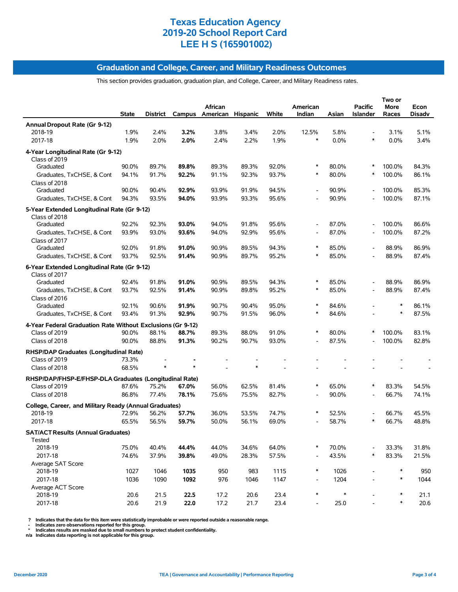### **Graduation and College, Career, and Military Readiness Outcomes**

This section provides graduation, graduation plan, and College, Career, and Military Readiness rates.

|                                                              | <b>State</b> | District |       | African<br>Campus American Hispanic |       | White | American<br>Indian       | Asian  | <b>Pacific</b><br><b>Islander</b> | Two or<br>More<br>Races | Econ<br>Disadv |
|--------------------------------------------------------------|--------------|----------|-------|-------------------------------------|-------|-------|--------------------------|--------|-----------------------------------|-------------------------|----------------|
| Annual Dropout Rate (Gr 9-12)                                |              |          |       |                                     |       |       |                          |        |                                   |                         |                |
| 2018-19                                                      | 1.9%         | 2.4%     | 3.2%  | 3.8%                                | 3.4%  | 2.0%  | 12.5%                    | 5.8%   |                                   | 3.1%                    | 5.1%           |
| 2017-18                                                      | 1.9%         | 2.0%     | 2.0%  | 2.4%                                | 2.2%  | 1.9%  | $\ast$                   | 0.0%   | $\ast$                            | 0.0%                    | 3.4%           |
| 4-Year Longitudinal Rate (Gr 9-12)<br>Class of 2019          |              |          |       |                                     |       |       |                          |        |                                   |                         |                |
| Graduated                                                    | 90.0%        | 89.7%    | 89.8% | 89.3%                               | 89.3% | 92.0% | ∗                        | 80.0%  | $\ast$                            | 100.0%                  | 84.3%          |
| Graduates, TxCHSE, & Cont                                    | 94.1%        | 91.7%    | 92.2% | 91.1%                               | 92.3% | 93.7% | $\ast$                   | 80.0%  | ∗                                 | 100.0%                  | 86.1%          |
| Class of 2018<br>Graduated                                   | 90.0%        | 90.4%    | 92.9% | 93.9%                               | 91.9% | 94.5% |                          | 90.9%  |                                   | 100.0%                  | 85.3%          |
| Graduates, TxCHSE, & Cont                                    | 94.3%        | 93.5%    | 94.0% | 93.9%                               | 93.3% | 95.6% |                          | 90.9%  |                                   | 100.0%                  | 87.1%          |
| 5-Year Extended Longitudinal Rate (Gr 9-12)<br>Class of 2018 |              |          |       |                                     |       |       |                          |        |                                   |                         |                |
| Graduated                                                    | 92.2%        | 92.3%    | 93.0% | 94.0%                               | 91.8% | 95.6% | $\overline{a}$           | 87.0%  |                                   | 100.0%                  | 86.6%          |
| Graduates, TxCHSE, & Cont                                    | 93.9%        | 93.0%    | 93.6% | 94.0%                               | 92.9% | 95.6% | $\overline{\phantom{a}}$ | 87.0%  |                                   | 100.0%                  | 87.2%          |
| Class of 2017                                                |              |          |       |                                     |       |       |                          |        |                                   |                         |                |
| Graduated                                                    | 92.0%        | 91.8%    | 91.0% | 90.9%                               | 89.5% | 94.3% | $\ast$                   | 85.0%  | $\overline{\phantom{a}}$          | 88.9%                   | 86.9%          |
| Graduates, TxCHSE, & Cont                                    | 93.7%        | 92.5%    | 91.4% | 90.9%                               | 89.7% | 95.2% | $\ast$                   | 85.0%  |                                   | 88.9%                   | 87.4%          |
| 6-Year Extended Longitudinal Rate (Gr 9-12)<br>Class of 2017 |              |          |       |                                     |       |       |                          |        |                                   |                         |                |
| Graduated                                                    | 92.4%        | 91.8%    | 91.0% | 90.9%                               | 89.5% | 94.3% | ∗                        | 85.0%  |                                   | 88.9%                   | 86.9%          |
| Graduates, TxCHSE, & Cont<br>Class of 2016                   | 93.7%        | 92.5%    | 91.4% | 90.9%                               | 89.8% | 95.2% | $\ast$                   | 85.0%  |                                   | 88.9%                   | 87.4%          |
| Graduated                                                    | 92.1%        | 90.6%    | 91.9% | 90.7%                               | 90.4% | 95.0% | $\ast$                   | 84.6%  |                                   | ∗                       | 86.1%          |
| Graduates, TxCHSE, & Cont                                    | 93.4%        | 91.3%    | 92.9% | 90.7%                               | 91.5% | 96.0% | *                        | 84.6%  |                                   | $\ast$                  | 87.5%          |
| 4-Year Federal Graduation Rate Without Exclusions (Gr 9-12)  |              |          |       |                                     |       |       |                          |        |                                   |                         |                |
| Class of 2019                                                | 90.0%        | 88.1%    | 88.7% | 89.3%                               | 88.0% | 91.0% | ∗                        | 80.0%  |                                   | 100.0%                  | 83.1%          |
| Class of 2018                                                | 90.0%        | 88.8%    | 91.3% | 90.2%                               | 90.7% | 93.0% | $\overline{a}$           | 87.5%  |                                   | 100.0%                  | 82.8%          |
| RHSP/DAP Graduates (Longitudinal Rate)<br>Class of 2019      | 73.3%        |          |       |                                     |       |       |                          |        |                                   |                         |                |
|                                                              | 68.5%        |          |       |                                     |       |       |                          |        |                                   |                         |                |
| Class of 2018                                                |              |          |       |                                     |       |       |                          |        |                                   |                         |                |
| RHSP/DAP/FHSP-E/FHSP-DLA Graduates (Longitudinal Rate)       |              |          |       |                                     |       |       |                          |        |                                   |                         |                |
| Class of 2019                                                | 87.6%        | 75.2%    | 67.0% | 56.0%                               | 62.5% | 81.4% | ∗                        | 65.0%  | ∗                                 | 83.3%                   | 54.5%          |
| Class of 2018                                                | 86.8%        | 77.4%    | 78.1% | 75.6%                               | 75.5% | 82.7% | $\overline{\phantom{a}}$ | 90.0%  |                                   | 66.7%                   | 74.1%          |
| College, Career, and Military Ready (Annual Graduates)       |              |          |       |                                     |       |       |                          |        |                                   |                         |                |
| 2018-19                                                      | 72.9%        | 56.2%    | 57.7% | 36.0%                               | 53.5% | 74.7% | ∗                        | 52.5%  |                                   | 66.7%                   | 45.5%          |
| 2017-18                                                      | 65.5%        | 56.5%    | 59.7% | 50.0%                               | 56.1% | 69.0% |                          | 58.7%  |                                   | 66.7%                   | 48.8%          |
| <b>SAT/ACT Results (Annual Graduates)</b><br>Tested          |              |          |       |                                     |       |       |                          |        |                                   |                         |                |
| 2018-19                                                      | 75.0%        | 40.4%    | 44.4% | 44.0%                               | 34.6% | 64.0% | ∗                        | 70.0%  |                                   | 33.3%                   | 31.8%          |
| 2017-18                                                      | 74.6%        | 37.9%    | 39.8% | 49.0%                               | 28.3% | 57.5% |                          | 43.5%  | $\ast$                            | 83.3%                   | 21.5%          |
| Average SAT Score<br>2018-19                                 | 1027         | 1046     | 1035  | 950                                 | 983   | 1115  | ∗                        | 1026   |                                   | ∗                       | 950            |
| 2017-18                                                      | 1036         | 1090     | 1092  | 976                                 | 1046  | 1147  | $\overline{a}$           | 1204   |                                   | $\ast$                  | 1044           |
| Average ACT Score                                            |              |          |       |                                     |       |       |                          |        |                                   |                         |                |
| 2018-19                                                      | 20.6         | 21.5     | 22.5  | 17.2                                | 20.6  | 23.4  | $\ast$                   | $\ast$ |                                   | ∗                       | 21.1           |
| 2017-18                                                      | 20.6         | 21.9     | 22.0  | 17.2                                | 21.7  | 23.4  | $\overline{\phantom{a}}$ | 25.0   |                                   | $\ast$                  | 20.6           |

? Indicates that the data for this item were statistically improbable or were reported outside a reasonable range.<br>- Indicates zero observations reported for this group.<br>\* Indicates results are masked due to small numbers